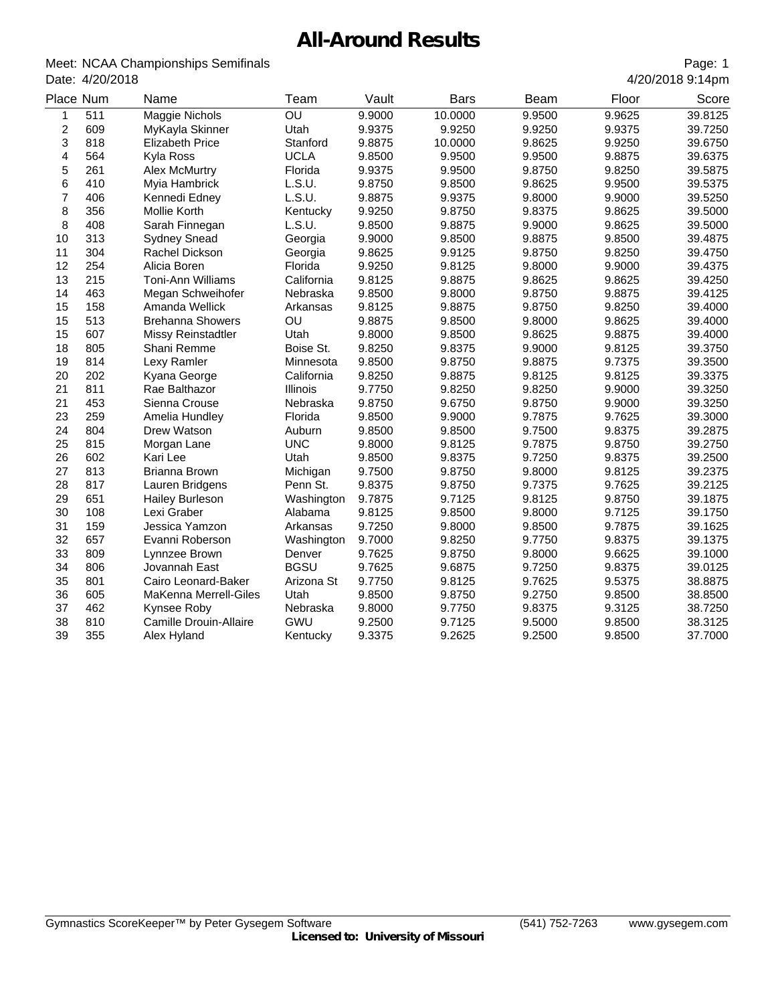## **All-Around Results**

| Meet: NCAA Championships Semifinals |
|-------------------------------------|
| Date: 4/20/2018                     |

| OU<br>511<br>Maggie Nichols<br>9.9000<br>10.0000<br>9.9500<br>9.9625<br>1<br>$\overline{c}$<br>609<br>9.9375<br>MyKayla Skinner<br>Utah<br>9.9250<br>9.9250<br>9.9375<br>3<br>818<br><b>Elizabeth Price</b><br>Stanford<br>9.8875<br>10.0000<br>9.8625<br>9.9250<br>4<br>564<br><b>UCLA</b><br>9.9500<br>Kyla Ross<br>9.8500<br>9.9500<br>9.8875<br>5<br>261<br>Florida<br>9.9500<br><b>Alex McMurtry</b><br>9.9375<br>9.8750<br>9.8250<br>6<br>410<br>L.S.U.<br>9.8750<br>9.8500<br>9.8625<br>9.9500<br>Myia Hambrick<br>7<br>406<br>L.S.U.<br>Kennedi Edney<br>9.8875<br>9.9375<br>9.8000<br>9.9000<br>8<br>356<br>9.9250<br>9.8375<br>Mollie Korth<br>Kentucky<br>9.8750<br>9.8625<br>8<br>408<br>L.S.U.<br>9.8500<br>9.8875<br>9.9000<br>9.8625<br>Sarah Finnegan<br>10<br>313<br><b>Sydney Snead</b><br>9.9000<br>9.8500<br>9.8875<br>9.8500<br>Georgia<br>11<br>304<br>9.8625<br>Rachel Dickson<br>9.9125<br>9.8750<br>9.8250<br>Georgia<br>12<br>254<br>9.9250<br>Alicia Boren<br>Florida<br>9.8125<br>9.8000<br>9.9000<br>13<br>215<br>California<br>9.8125<br>9.8875<br><b>Toni-Ann Williams</b><br>9.8625<br>9.8625<br>14<br>463<br>Nebraska<br>9.8500<br>9.8000<br>9.8750<br>9.8875<br>Megan Schweihofer<br>15<br>158<br>9.8125<br>9.8250<br>Amanda Wellick<br>9.8875<br>9.8750<br>Arkansas<br>15<br>513<br>OU<br><b>Brehanna Showers</b><br>9.8875<br>9.8500<br>9.8000<br>9.8625<br>15<br>607<br>Utah<br>9.8000<br>9.8500<br>9.8625<br>9.8875<br><b>Missy Reinstadtler</b><br>18<br>805<br>Shani Remme<br>9.8250<br>9.8375<br>9.9000<br>9.8125<br>Boise St.<br>19<br>9.8500<br>814<br>Lexy Ramler<br>9.8750<br>9.8875<br>9.7375<br>Minnesota<br>20<br>202<br>9.8250<br>9.8875<br>9.8125<br>9.8125<br>Kyana George<br>California<br>21<br>811<br>9.7750<br>9.8250<br>9.8250<br>9.9000<br>Rae Balthazor<br>Illinois<br>21<br>453<br>Nebraska<br>9.8750<br>9.6750<br>9.8750<br>9.9000<br>Sienna Crouse<br>23<br>259<br>Florida<br>9.8500<br>9.9000<br>9.7875<br>9.7625<br>Amelia Hundley<br>24<br>804<br>Drew Watson<br>Auburn<br>9.8500<br>9.8500<br>9.7500<br>9.8375<br>25<br>815<br><b>UNC</b><br>Morgan Lane<br>9.8000<br>9.8125<br>9.7875<br>9.8750<br>26<br>602<br>Utah<br>9.8500<br>9.8375<br>9.7250<br>9.8375<br>Kari Lee<br>27<br>813<br>9.7500<br>9.8000<br>Michigan<br>9.8750<br>9.8125<br>Brianna Brown<br>28<br>817<br>9.8375<br>Lauren Bridgens<br>Penn St.<br>9.8750<br>9.7375<br>9.7625<br>29<br>651<br>9.7875<br>9.7125<br>9.8125<br>9.8750<br><b>Hailey Burleson</b><br>Washington<br>30<br>108<br>9.8125<br>9.8500<br>9.8000<br>9.7125<br>Lexi Graber<br>Alabama<br>31<br>159<br>9.7250<br>9.8000<br>9.8500<br>9.7875<br>Jessica Yamzon<br>Arkansas<br>32<br>657<br>9.7000<br>9.8250<br>9.7750<br>9.8375<br>Evanni Roberson<br>Washington<br>33<br>809<br>9.7625<br>9.8750<br>9.8000<br>9.6625<br>Lynnzee Brown<br>Denver<br>34<br>806<br>Jovannah East<br><b>BGSU</b><br>9.7625<br>9.6875<br>9.7250<br>9.8375<br>35<br>801<br>9.7750<br>9.8125<br>9.7625<br>9.5375<br>Cairo Leonard-Baker<br>Arizona St<br>36<br>605<br>MaKenna Merrell-Giles<br>Utah<br>9.8500<br>9.8750<br>9.2750<br>9.8500<br>37<br>462<br>Kynsee Roby<br>Nebraska<br>9.8000<br>9.7750<br>9.8375<br>9.3125<br>38<br>810<br>Camille Drouin-Allaire<br>GWU<br>9.2500<br>9.7125<br>9.5000<br>9.8500<br>39<br>355<br>9.3375<br>9.2625<br>9.2500<br>9.8500<br>Alex Hyland<br>Kentucky | Place Num | Name | Team | Vault | <b>Bars</b> | Beam | Floor | Score   |
|----------------------------------------------------------------------------------------------------------------------------------------------------------------------------------------------------------------------------------------------------------------------------------------------------------------------------------------------------------------------------------------------------------------------------------------------------------------------------------------------------------------------------------------------------------------------------------------------------------------------------------------------------------------------------------------------------------------------------------------------------------------------------------------------------------------------------------------------------------------------------------------------------------------------------------------------------------------------------------------------------------------------------------------------------------------------------------------------------------------------------------------------------------------------------------------------------------------------------------------------------------------------------------------------------------------------------------------------------------------------------------------------------------------------------------------------------------------------------------------------------------------------------------------------------------------------------------------------------------------------------------------------------------------------------------------------------------------------------------------------------------------------------------------------------------------------------------------------------------------------------------------------------------------------------------------------------------------------------------------------------------------------------------------------------------------------------------------------------------------------------------------------------------------------------------------------------------------------------------------------------------------------------------------------------------------------------------------------------------------------------------------------------------------------------------------------------------------------------------------------------------------------------------------------------------------------------------------------------------------------------------------------------------------------------------------------------------------------------------------------------------------------------------------------------------------------------------------------------------------------------------------------------------------------------------------------------------------------------------------------------------------------------------------------------------------------------------------------------------------------------------------------------------------------------------------------------------------------------------------------------------------------------------------------------------------------------------------------------------------------------------|-----------|------|------|-------|-------------|------|-------|---------|
|                                                                                                                                                                                                                                                                                                                                                                                                                                                                                                                                                                                                                                                                                                                                                                                                                                                                                                                                                                                                                                                                                                                                                                                                                                                                                                                                                                                                                                                                                                                                                                                                                                                                                                                                                                                                                                                                                                                                                                                                                                                                                                                                                                                                                                                                                                                                                                                                                                                                                                                                                                                                                                                                                                                                                                                                                                                                                                                                                                                                                                                                                                                                                                                                                                                                                                                                                                                  |           |      |      |       |             |      |       | 39.8125 |
|                                                                                                                                                                                                                                                                                                                                                                                                                                                                                                                                                                                                                                                                                                                                                                                                                                                                                                                                                                                                                                                                                                                                                                                                                                                                                                                                                                                                                                                                                                                                                                                                                                                                                                                                                                                                                                                                                                                                                                                                                                                                                                                                                                                                                                                                                                                                                                                                                                                                                                                                                                                                                                                                                                                                                                                                                                                                                                                                                                                                                                                                                                                                                                                                                                                                                                                                                                                  |           |      |      |       |             |      |       | 39.7250 |
|                                                                                                                                                                                                                                                                                                                                                                                                                                                                                                                                                                                                                                                                                                                                                                                                                                                                                                                                                                                                                                                                                                                                                                                                                                                                                                                                                                                                                                                                                                                                                                                                                                                                                                                                                                                                                                                                                                                                                                                                                                                                                                                                                                                                                                                                                                                                                                                                                                                                                                                                                                                                                                                                                                                                                                                                                                                                                                                                                                                                                                                                                                                                                                                                                                                                                                                                                                                  |           |      |      |       |             |      |       | 39.6750 |
|                                                                                                                                                                                                                                                                                                                                                                                                                                                                                                                                                                                                                                                                                                                                                                                                                                                                                                                                                                                                                                                                                                                                                                                                                                                                                                                                                                                                                                                                                                                                                                                                                                                                                                                                                                                                                                                                                                                                                                                                                                                                                                                                                                                                                                                                                                                                                                                                                                                                                                                                                                                                                                                                                                                                                                                                                                                                                                                                                                                                                                                                                                                                                                                                                                                                                                                                                                                  |           |      |      |       |             |      |       | 39.6375 |
|                                                                                                                                                                                                                                                                                                                                                                                                                                                                                                                                                                                                                                                                                                                                                                                                                                                                                                                                                                                                                                                                                                                                                                                                                                                                                                                                                                                                                                                                                                                                                                                                                                                                                                                                                                                                                                                                                                                                                                                                                                                                                                                                                                                                                                                                                                                                                                                                                                                                                                                                                                                                                                                                                                                                                                                                                                                                                                                                                                                                                                                                                                                                                                                                                                                                                                                                                                                  |           |      |      |       |             |      |       | 39.5875 |
|                                                                                                                                                                                                                                                                                                                                                                                                                                                                                                                                                                                                                                                                                                                                                                                                                                                                                                                                                                                                                                                                                                                                                                                                                                                                                                                                                                                                                                                                                                                                                                                                                                                                                                                                                                                                                                                                                                                                                                                                                                                                                                                                                                                                                                                                                                                                                                                                                                                                                                                                                                                                                                                                                                                                                                                                                                                                                                                                                                                                                                                                                                                                                                                                                                                                                                                                                                                  |           |      |      |       |             |      |       | 39.5375 |
|                                                                                                                                                                                                                                                                                                                                                                                                                                                                                                                                                                                                                                                                                                                                                                                                                                                                                                                                                                                                                                                                                                                                                                                                                                                                                                                                                                                                                                                                                                                                                                                                                                                                                                                                                                                                                                                                                                                                                                                                                                                                                                                                                                                                                                                                                                                                                                                                                                                                                                                                                                                                                                                                                                                                                                                                                                                                                                                                                                                                                                                                                                                                                                                                                                                                                                                                                                                  |           |      |      |       |             |      |       | 39.5250 |
|                                                                                                                                                                                                                                                                                                                                                                                                                                                                                                                                                                                                                                                                                                                                                                                                                                                                                                                                                                                                                                                                                                                                                                                                                                                                                                                                                                                                                                                                                                                                                                                                                                                                                                                                                                                                                                                                                                                                                                                                                                                                                                                                                                                                                                                                                                                                                                                                                                                                                                                                                                                                                                                                                                                                                                                                                                                                                                                                                                                                                                                                                                                                                                                                                                                                                                                                                                                  |           |      |      |       |             |      |       | 39.5000 |
|                                                                                                                                                                                                                                                                                                                                                                                                                                                                                                                                                                                                                                                                                                                                                                                                                                                                                                                                                                                                                                                                                                                                                                                                                                                                                                                                                                                                                                                                                                                                                                                                                                                                                                                                                                                                                                                                                                                                                                                                                                                                                                                                                                                                                                                                                                                                                                                                                                                                                                                                                                                                                                                                                                                                                                                                                                                                                                                                                                                                                                                                                                                                                                                                                                                                                                                                                                                  |           |      |      |       |             |      |       | 39.5000 |
|                                                                                                                                                                                                                                                                                                                                                                                                                                                                                                                                                                                                                                                                                                                                                                                                                                                                                                                                                                                                                                                                                                                                                                                                                                                                                                                                                                                                                                                                                                                                                                                                                                                                                                                                                                                                                                                                                                                                                                                                                                                                                                                                                                                                                                                                                                                                                                                                                                                                                                                                                                                                                                                                                                                                                                                                                                                                                                                                                                                                                                                                                                                                                                                                                                                                                                                                                                                  |           |      |      |       |             |      |       | 39.4875 |
|                                                                                                                                                                                                                                                                                                                                                                                                                                                                                                                                                                                                                                                                                                                                                                                                                                                                                                                                                                                                                                                                                                                                                                                                                                                                                                                                                                                                                                                                                                                                                                                                                                                                                                                                                                                                                                                                                                                                                                                                                                                                                                                                                                                                                                                                                                                                                                                                                                                                                                                                                                                                                                                                                                                                                                                                                                                                                                                                                                                                                                                                                                                                                                                                                                                                                                                                                                                  |           |      |      |       |             |      |       | 39.4750 |
|                                                                                                                                                                                                                                                                                                                                                                                                                                                                                                                                                                                                                                                                                                                                                                                                                                                                                                                                                                                                                                                                                                                                                                                                                                                                                                                                                                                                                                                                                                                                                                                                                                                                                                                                                                                                                                                                                                                                                                                                                                                                                                                                                                                                                                                                                                                                                                                                                                                                                                                                                                                                                                                                                                                                                                                                                                                                                                                                                                                                                                                                                                                                                                                                                                                                                                                                                                                  |           |      |      |       |             |      |       | 39.4375 |
|                                                                                                                                                                                                                                                                                                                                                                                                                                                                                                                                                                                                                                                                                                                                                                                                                                                                                                                                                                                                                                                                                                                                                                                                                                                                                                                                                                                                                                                                                                                                                                                                                                                                                                                                                                                                                                                                                                                                                                                                                                                                                                                                                                                                                                                                                                                                                                                                                                                                                                                                                                                                                                                                                                                                                                                                                                                                                                                                                                                                                                                                                                                                                                                                                                                                                                                                                                                  |           |      |      |       |             |      |       | 39.4250 |
|                                                                                                                                                                                                                                                                                                                                                                                                                                                                                                                                                                                                                                                                                                                                                                                                                                                                                                                                                                                                                                                                                                                                                                                                                                                                                                                                                                                                                                                                                                                                                                                                                                                                                                                                                                                                                                                                                                                                                                                                                                                                                                                                                                                                                                                                                                                                                                                                                                                                                                                                                                                                                                                                                                                                                                                                                                                                                                                                                                                                                                                                                                                                                                                                                                                                                                                                                                                  |           |      |      |       |             |      |       | 39.4125 |
|                                                                                                                                                                                                                                                                                                                                                                                                                                                                                                                                                                                                                                                                                                                                                                                                                                                                                                                                                                                                                                                                                                                                                                                                                                                                                                                                                                                                                                                                                                                                                                                                                                                                                                                                                                                                                                                                                                                                                                                                                                                                                                                                                                                                                                                                                                                                                                                                                                                                                                                                                                                                                                                                                                                                                                                                                                                                                                                                                                                                                                                                                                                                                                                                                                                                                                                                                                                  |           |      |      |       |             |      |       | 39.4000 |
|                                                                                                                                                                                                                                                                                                                                                                                                                                                                                                                                                                                                                                                                                                                                                                                                                                                                                                                                                                                                                                                                                                                                                                                                                                                                                                                                                                                                                                                                                                                                                                                                                                                                                                                                                                                                                                                                                                                                                                                                                                                                                                                                                                                                                                                                                                                                                                                                                                                                                                                                                                                                                                                                                                                                                                                                                                                                                                                                                                                                                                                                                                                                                                                                                                                                                                                                                                                  |           |      |      |       |             |      |       | 39.4000 |
|                                                                                                                                                                                                                                                                                                                                                                                                                                                                                                                                                                                                                                                                                                                                                                                                                                                                                                                                                                                                                                                                                                                                                                                                                                                                                                                                                                                                                                                                                                                                                                                                                                                                                                                                                                                                                                                                                                                                                                                                                                                                                                                                                                                                                                                                                                                                                                                                                                                                                                                                                                                                                                                                                                                                                                                                                                                                                                                                                                                                                                                                                                                                                                                                                                                                                                                                                                                  |           |      |      |       |             |      |       | 39.4000 |
|                                                                                                                                                                                                                                                                                                                                                                                                                                                                                                                                                                                                                                                                                                                                                                                                                                                                                                                                                                                                                                                                                                                                                                                                                                                                                                                                                                                                                                                                                                                                                                                                                                                                                                                                                                                                                                                                                                                                                                                                                                                                                                                                                                                                                                                                                                                                                                                                                                                                                                                                                                                                                                                                                                                                                                                                                                                                                                                                                                                                                                                                                                                                                                                                                                                                                                                                                                                  |           |      |      |       |             |      |       | 39.3750 |
|                                                                                                                                                                                                                                                                                                                                                                                                                                                                                                                                                                                                                                                                                                                                                                                                                                                                                                                                                                                                                                                                                                                                                                                                                                                                                                                                                                                                                                                                                                                                                                                                                                                                                                                                                                                                                                                                                                                                                                                                                                                                                                                                                                                                                                                                                                                                                                                                                                                                                                                                                                                                                                                                                                                                                                                                                                                                                                                                                                                                                                                                                                                                                                                                                                                                                                                                                                                  |           |      |      |       |             |      |       | 39.3500 |
|                                                                                                                                                                                                                                                                                                                                                                                                                                                                                                                                                                                                                                                                                                                                                                                                                                                                                                                                                                                                                                                                                                                                                                                                                                                                                                                                                                                                                                                                                                                                                                                                                                                                                                                                                                                                                                                                                                                                                                                                                                                                                                                                                                                                                                                                                                                                                                                                                                                                                                                                                                                                                                                                                                                                                                                                                                                                                                                                                                                                                                                                                                                                                                                                                                                                                                                                                                                  |           |      |      |       |             |      |       | 39.3375 |
|                                                                                                                                                                                                                                                                                                                                                                                                                                                                                                                                                                                                                                                                                                                                                                                                                                                                                                                                                                                                                                                                                                                                                                                                                                                                                                                                                                                                                                                                                                                                                                                                                                                                                                                                                                                                                                                                                                                                                                                                                                                                                                                                                                                                                                                                                                                                                                                                                                                                                                                                                                                                                                                                                                                                                                                                                                                                                                                                                                                                                                                                                                                                                                                                                                                                                                                                                                                  |           |      |      |       |             |      |       | 39.3250 |
|                                                                                                                                                                                                                                                                                                                                                                                                                                                                                                                                                                                                                                                                                                                                                                                                                                                                                                                                                                                                                                                                                                                                                                                                                                                                                                                                                                                                                                                                                                                                                                                                                                                                                                                                                                                                                                                                                                                                                                                                                                                                                                                                                                                                                                                                                                                                                                                                                                                                                                                                                                                                                                                                                                                                                                                                                                                                                                                                                                                                                                                                                                                                                                                                                                                                                                                                                                                  |           |      |      |       |             |      |       | 39.3250 |
|                                                                                                                                                                                                                                                                                                                                                                                                                                                                                                                                                                                                                                                                                                                                                                                                                                                                                                                                                                                                                                                                                                                                                                                                                                                                                                                                                                                                                                                                                                                                                                                                                                                                                                                                                                                                                                                                                                                                                                                                                                                                                                                                                                                                                                                                                                                                                                                                                                                                                                                                                                                                                                                                                                                                                                                                                                                                                                                                                                                                                                                                                                                                                                                                                                                                                                                                                                                  |           |      |      |       |             |      |       | 39.3000 |
|                                                                                                                                                                                                                                                                                                                                                                                                                                                                                                                                                                                                                                                                                                                                                                                                                                                                                                                                                                                                                                                                                                                                                                                                                                                                                                                                                                                                                                                                                                                                                                                                                                                                                                                                                                                                                                                                                                                                                                                                                                                                                                                                                                                                                                                                                                                                                                                                                                                                                                                                                                                                                                                                                                                                                                                                                                                                                                                                                                                                                                                                                                                                                                                                                                                                                                                                                                                  |           |      |      |       |             |      |       | 39.2875 |
|                                                                                                                                                                                                                                                                                                                                                                                                                                                                                                                                                                                                                                                                                                                                                                                                                                                                                                                                                                                                                                                                                                                                                                                                                                                                                                                                                                                                                                                                                                                                                                                                                                                                                                                                                                                                                                                                                                                                                                                                                                                                                                                                                                                                                                                                                                                                                                                                                                                                                                                                                                                                                                                                                                                                                                                                                                                                                                                                                                                                                                                                                                                                                                                                                                                                                                                                                                                  |           |      |      |       |             |      |       | 39.2750 |
|                                                                                                                                                                                                                                                                                                                                                                                                                                                                                                                                                                                                                                                                                                                                                                                                                                                                                                                                                                                                                                                                                                                                                                                                                                                                                                                                                                                                                                                                                                                                                                                                                                                                                                                                                                                                                                                                                                                                                                                                                                                                                                                                                                                                                                                                                                                                                                                                                                                                                                                                                                                                                                                                                                                                                                                                                                                                                                                                                                                                                                                                                                                                                                                                                                                                                                                                                                                  |           |      |      |       |             |      |       | 39.2500 |
|                                                                                                                                                                                                                                                                                                                                                                                                                                                                                                                                                                                                                                                                                                                                                                                                                                                                                                                                                                                                                                                                                                                                                                                                                                                                                                                                                                                                                                                                                                                                                                                                                                                                                                                                                                                                                                                                                                                                                                                                                                                                                                                                                                                                                                                                                                                                                                                                                                                                                                                                                                                                                                                                                                                                                                                                                                                                                                                                                                                                                                                                                                                                                                                                                                                                                                                                                                                  |           |      |      |       |             |      |       | 39.2375 |
|                                                                                                                                                                                                                                                                                                                                                                                                                                                                                                                                                                                                                                                                                                                                                                                                                                                                                                                                                                                                                                                                                                                                                                                                                                                                                                                                                                                                                                                                                                                                                                                                                                                                                                                                                                                                                                                                                                                                                                                                                                                                                                                                                                                                                                                                                                                                                                                                                                                                                                                                                                                                                                                                                                                                                                                                                                                                                                                                                                                                                                                                                                                                                                                                                                                                                                                                                                                  |           |      |      |       |             |      |       | 39.2125 |
|                                                                                                                                                                                                                                                                                                                                                                                                                                                                                                                                                                                                                                                                                                                                                                                                                                                                                                                                                                                                                                                                                                                                                                                                                                                                                                                                                                                                                                                                                                                                                                                                                                                                                                                                                                                                                                                                                                                                                                                                                                                                                                                                                                                                                                                                                                                                                                                                                                                                                                                                                                                                                                                                                                                                                                                                                                                                                                                                                                                                                                                                                                                                                                                                                                                                                                                                                                                  |           |      |      |       |             |      |       | 39.1875 |
|                                                                                                                                                                                                                                                                                                                                                                                                                                                                                                                                                                                                                                                                                                                                                                                                                                                                                                                                                                                                                                                                                                                                                                                                                                                                                                                                                                                                                                                                                                                                                                                                                                                                                                                                                                                                                                                                                                                                                                                                                                                                                                                                                                                                                                                                                                                                                                                                                                                                                                                                                                                                                                                                                                                                                                                                                                                                                                                                                                                                                                                                                                                                                                                                                                                                                                                                                                                  |           |      |      |       |             |      |       | 39.1750 |
|                                                                                                                                                                                                                                                                                                                                                                                                                                                                                                                                                                                                                                                                                                                                                                                                                                                                                                                                                                                                                                                                                                                                                                                                                                                                                                                                                                                                                                                                                                                                                                                                                                                                                                                                                                                                                                                                                                                                                                                                                                                                                                                                                                                                                                                                                                                                                                                                                                                                                                                                                                                                                                                                                                                                                                                                                                                                                                                                                                                                                                                                                                                                                                                                                                                                                                                                                                                  |           |      |      |       |             |      |       | 39.1625 |
|                                                                                                                                                                                                                                                                                                                                                                                                                                                                                                                                                                                                                                                                                                                                                                                                                                                                                                                                                                                                                                                                                                                                                                                                                                                                                                                                                                                                                                                                                                                                                                                                                                                                                                                                                                                                                                                                                                                                                                                                                                                                                                                                                                                                                                                                                                                                                                                                                                                                                                                                                                                                                                                                                                                                                                                                                                                                                                                                                                                                                                                                                                                                                                                                                                                                                                                                                                                  |           |      |      |       |             |      |       | 39.1375 |
|                                                                                                                                                                                                                                                                                                                                                                                                                                                                                                                                                                                                                                                                                                                                                                                                                                                                                                                                                                                                                                                                                                                                                                                                                                                                                                                                                                                                                                                                                                                                                                                                                                                                                                                                                                                                                                                                                                                                                                                                                                                                                                                                                                                                                                                                                                                                                                                                                                                                                                                                                                                                                                                                                                                                                                                                                                                                                                                                                                                                                                                                                                                                                                                                                                                                                                                                                                                  |           |      |      |       |             |      |       | 39.1000 |
|                                                                                                                                                                                                                                                                                                                                                                                                                                                                                                                                                                                                                                                                                                                                                                                                                                                                                                                                                                                                                                                                                                                                                                                                                                                                                                                                                                                                                                                                                                                                                                                                                                                                                                                                                                                                                                                                                                                                                                                                                                                                                                                                                                                                                                                                                                                                                                                                                                                                                                                                                                                                                                                                                                                                                                                                                                                                                                                                                                                                                                                                                                                                                                                                                                                                                                                                                                                  |           |      |      |       |             |      |       | 39.0125 |
|                                                                                                                                                                                                                                                                                                                                                                                                                                                                                                                                                                                                                                                                                                                                                                                                                                                                                                                                                                                                                                                                                                                                                                                                                                                                                                                                                                                                                                                                                                                                                                                                                                                                                                                                                                                                                                                                                                                                                                                                                                                                                                                                                                                                                                                                                                                                                                                                                                                                                                                                                                                                                                                                                                                                                                                                                                                                                                                                                                                                                                                                                                                                                                                                                                                                                                                                                                                  |           |      |      |       |             |      |       | 38.8875 |
|                                                                                                                                                                                                                                                                                                                                                                                                                                                                                                                                                                                                                                                                                                                                                                                                                                                                                                                                                                                                                                                                                                                                                                                                                                                                                                                                                                                                                                                                                                                                                                                                                                                                                                                                                                                                                                                                                                                                                                                                                                                                                                                                                                                                                                                                                                                                                                                                                                                                                                                                                                                                                                                                                                                                                                                                                                                                                                                                                                                                                                                                                                                                                                                                                                                                                                                                                                                  |           |      |      |       |             |      |       | 38.8500 |
|                                                                                                                                                                                                                                                                                                                                                                                                                                                                                                                                                                                                                                                                                                                                                                                                                                                                                                                                                                                                                                                                                                                                                                                                                                                                                                                                                                                                                                                                                                                                                                                                                                                                                                                                                                                                                                                                                                                                                                                                                                                                                                                                                                                                                                                                                                                                                                                                                                                                                                                                                                                                                                                                                                                                                                                                                                                                                                                                                                                                                                                                                                                                                                                                                                                                                                                                                                                  |           |      |      |       |             |      |       | 38.7250 |
|                                                                                                                                                                                                                                                                                                                                                                                                                                                                                                                                                                                                                                                                                                                                                                                                                                                                                                                                                                                                                                                                                                                                                                                                                                                                                                                                                                                                                                                                                                                                                                                                                                                                                                                                                                                                                                                                                                                                                                                                                                                                                                                                                                                                                                                                                                                                                                                                                                                                                                                                                                                                                                                                                                                                                                                                                                                                                                                                                                                                                                                                                                                                                                                                                                                                                                                                                                                  |           |      |      |       |             |      |       | 38.3125 |
|                                                                                                                                                                                                                                                                                                                                                                                                                                                                                                                                                                                                                                                                                                                                                                                                                                                                                                                                                                                                                                                                                                                                                                                                                                                                                                                                                                                                                                                                                                                                                                                                                                                                                                                                                                                                                                                                                                                                                                                                                                                                                                                                                                                                                                                                                                                                                                                                                                                                                                                                                                                                                                                                                                                                                                                                                                                                                                                                                                                                                                                                                                                                                                                                                                                                                                                                                                                  |           |      |      |       |             |      |       | 37.7000 |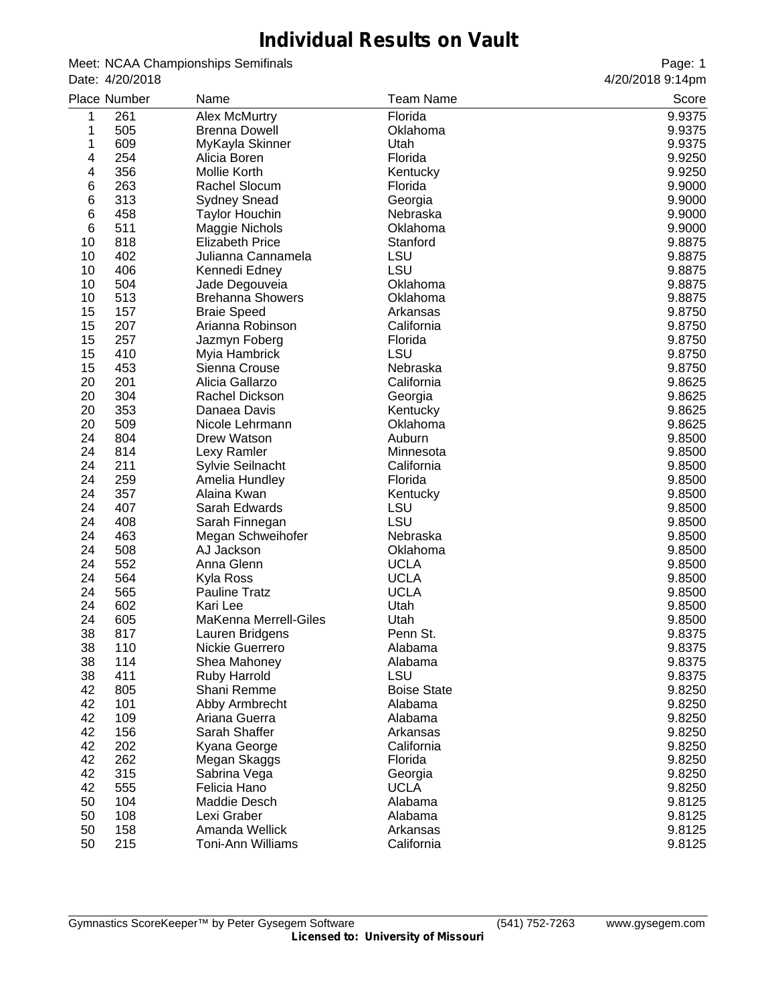## **Individual Results on Vault**

Meet: NCAA Championships Semifinals Date: 4/20/2018

|    | Place Number | Name                         | <b>Team Name</b>    | Score  |
|----|--------------|------------------------------|---------------------|--------|
| 1  | 261          | <b>Alex McMurtry</b>         | Florida             | 9.9375 |
| 1  | 505          | <b>Brenna Dowell</b>         | Oklahoma            | 9.9375 |
| 1  | 609          | MyKayla Skinner              | Utah                | 9.9375 |
| 4  | 254          | Alicia Boren                 | Florida             | 9.9250 |
| 4  | 356          | Mollie Korth                 | Kentucky            | 9.9250 |
| 6  | 263          | Rachel Slocum                | Florida             | 9.9000 |
| 6  | 313          | <b>Sydney Snead</b>          | Georgia             | 9.9000 |
| 6  | 458          | <b>Taylor Houchin</b>        | Nebraska            | 9.9000 |
| 6  | 511          | Maggie Nichols               | Oklahoma            | 9.9000 |
| 10 | 818          | <b>Elizabeth Price</b>       | Stanford            | 9.8875 |
| 10 | 402          | Julianna Cannamela           | LSU                 | 9.8875 |
| 10 | 406          | Kennedi Edney                | LSU                 | 9.8875 |
| 10 | 504          | Jade Degouveia               | Oklahoma            | 9.8875 |
| 10 | 513          | <b>Brehanna Showers</b>      | Oklahoma            | 9.8875 |
| 15 | 157          | <b>Braie Speed</b>           | Arkansas            | 9.8750 |
| 15 | 207          | Arianna Robinson             | California          | 9.8750 |
| 15 | 257          | Jazmyn Foberg                | Florida             | 9.8750 |
| 15 | 410          | Myia Hambrick                | LSU                 | 9.8750 |
| 15 | 453          | Sienna Crouse                | Nebraska            | 9.8750 |
| 20 | 201          | Alicia Gallarzo              | California          | 9.8625 |
| 20 | 304          | Rachel Dickson               | Georgia             | 9.8625 |
| 20 | 353          | Danaea Davis                 | Kentucky            | 9.8625 |
| 20 | 509          | Nicole Lehrmann              | Oklahoma            | 9.8625 |
| 24 | 804          |                              |                     | 9.8500 |
| 24 | 814          | Drew Watson                  | Auburn<br>Minnesota | 9.8500 |
| 24 | 211          | Lexy Ramler                  | California          |        |
| 24 | 259          | Sylvie Seilnacht             |                     | 9.8500 |
|    |              | Amelia Hundley               | Florida             | 9.8500 |
| 24 | 357          | Alaina Kwan                  | Kentucky            | 9.8500 |
| 24 | 407          | Sarah Edwards                | LSU                 | 9.8500 |
| 24 | 408          | Sarah Finnegan               | LSU                 | 9.8500 |
| 24 | 463          | Megan Schweihofer            | Nebraska            | 9.8500 |
| 24 | 508          | AJ Jackson                   | Oklahoma            | 9.8500 |
| 24 | 552          | Anna Glenn                   | <b>UCLA</b>         | 9.8500 |
| 24 | 564          | Kyla Ross                    | <b>UCLA</b>         | 9.8500 |
| 24 | 565          | Pauline Tratz                | <b>UCLA</b>         | 9.8500 |
| 24 | 602          | Kari Lee                     | Utah                | 9.8500 |
| 24 | 605          | <b>MaKenna Merrell-Giles</b> | Utah                | 9.8500 |
| 38 | 817          | Lauren Bridgens              | Penn St.            | 9.8375 |
| 38 | 110          | Nickie Guerrero              | Alabama             | 9.8375 |
| 38 | 114          | Shea Mahoney                 | Alabama             | 9.8375 |
| 38 | 411          | Ruby Harrold                 | <b>LSU</b>          | 9.8375 |
| 42 | 805          | Shani Remme                  | <b>Boise State</b>  | 9.8250 |
| 42 | 101          | Abby Armbrecht               | Alabama             | 9.8250 |
| 42 | 109          | Ariana Guerra                | Alabama             | 9.8250 |
| 42 | 156          | Sarah Shaffer                | Arkansas            | 9.8250 |
| 42 | 202          | Kyana George                 | California          | 9.8250 |
| 42 | 262          | Megan Skaggs                 | Florida             | 9.8250 |
| 42 | 315          | Sabrina Vega                 | Georgia             | 9.8250 |
| 42 | 555          | Felicia Hano                 | <b>UCLA</b>         | 9.8250 |
| 50 | 104          | Maddie Desch                 | Alabama             | 9.8125 |
| 50 | 108          | Lexi Graber                  | Alabama             | 9.8125 |
| 50 | 158          | Amanda Wellick               | Arkansas            | 9.8125 |
| 50 | 215          | Toni-Ann Williams            | California          | 9.8125 |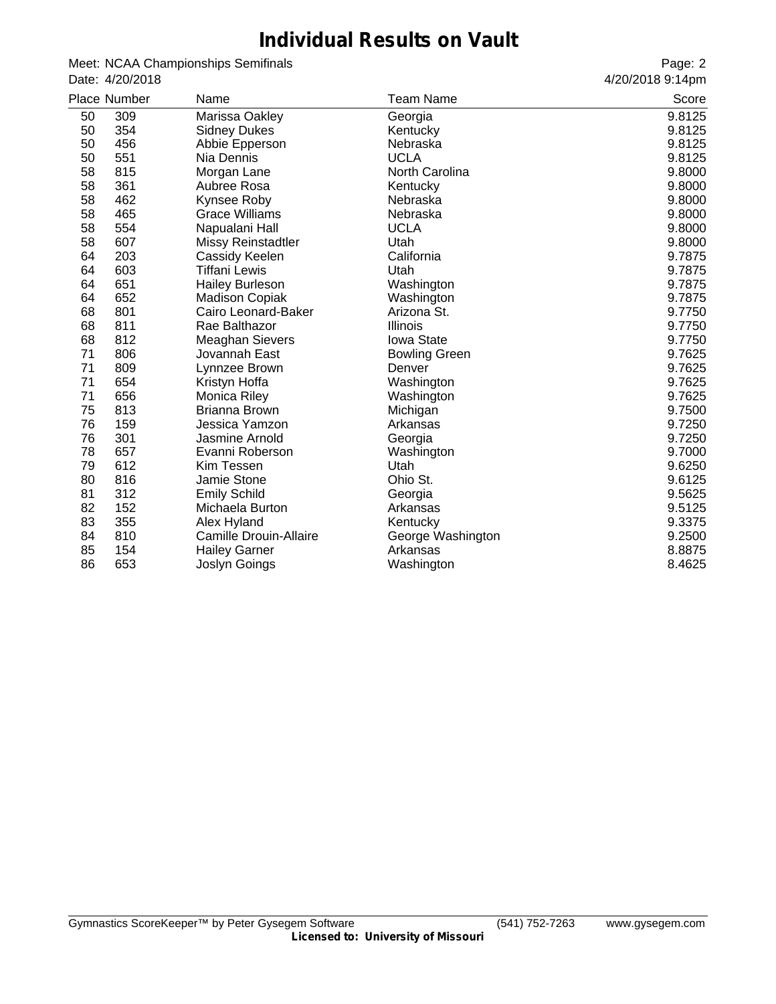## **Individual Results on Vault**

Meet: NCAA Championships Semifinals Date: 4/20/2018

|    | Place Number | Name                          | Team Name            | Score  |
|----|--------------|-------------------------------|----------------------|--------|
| 50 | 309          | Marissa Oakley                | Georgia              | 9.8125 |
| 50 | 354          | <b>Sidney Dukes</b>           | Kentucky             | 9.8125 |
| 50 | 456          | Abbie Epperson                | Nebraska             | 9.8125 |
| 50 | 551          | Nia Dennis                    | <b>UCLA</b>          | 9.8125 |
| 58 | 815          | Morgan Lane                   | North Carolina       | 9.8000 |
| 58 | 361          | Aubree Rosa                   | Kentucky             | 9.8000 |
| 58 | 462          | Kynsee Roby                   | Nebraska             | 9.8000 |
| 58 | 465          | <b>Grace Williams</b>         | Nebraska             | 9.8000 |
| 58 | 554          | Napualani Hall                | <b>UCLA</b>          | 9.8000 |
| 58 | 607          | <b>Missy Reinstadtler</b>     | Utah                 | 9.8000 |
| 64 | 203          | Cassidy Keelen                | California           | 9.7875 |
| 64 | 603          | Tiffani Lewis                 | Utah                 | 9.7875 |
| 64 | 651          | <b>Hailey Burleson</b>        | Washington           | 9.7875 |
| 64 | 652          | <b>Madison Copiak</b>         | Washington           | 9.7875 |
| 68 | 801          | Cairo Leonard-Baker           | Arizona St.          | 9.7750 |
| 68 | 811          | Rae Balthazor                 | <b>Illinois</b>      | 9.7750 |
| 68 | 812          | <b>Meaghan Sievers</b>        | Iowa State           | 9.7750 |
| 71 | 806          | Jovannah East                 | <b>Bowling Green</b> | 9.7625 |
| 71 | 809          | Lynnzee Brown                 | Denver               | 9.7625 |
| 71 | 654          | Kristyn Hoffa                 | Washington           | 9.7625 |
| 71 | 656          | Monica Riley                  | Washington           | 9.7625 |
| 75 | 813          | Brianna Brown                 | Michigan             | 9.7500 |
| 76 | 159          | Jessica Yamzon                | Arkansas             | 9.7250 |
| 76 | 301          | Jasmine Arnold                | Georgia              | 9.7250 |
| 78 | 657          | Evanni Roberson               | Washington           | 9.7000 |
| 79 | 612          | Kim Tessen                    | Utah                 | 9.6250 |
| 80 | 816          | Jamie Stone                   | Ohio St.             | 9.6125 |
| 81 | 312          | <b>Emily Schild</b>           | Georgia              | 9.5625 |
| 82 | 152          | Michaela Burton               | Arkansas             | 9.5125 |
| 83 | 355          | Alex Hyland                   | Kentucky             | 9.3375 |
| 84 | 810          | <b>Camille Drouin-Allaire</b> | George Washington    | 9.2500 |
| 85 | 154          | <b>Hailey Garner</b>          | Arkansas             | 8.8875 |
| 86 | 653          | Joslyn Goings                 | Washington           | 8.4625 |
|    |              |                               |                      |        |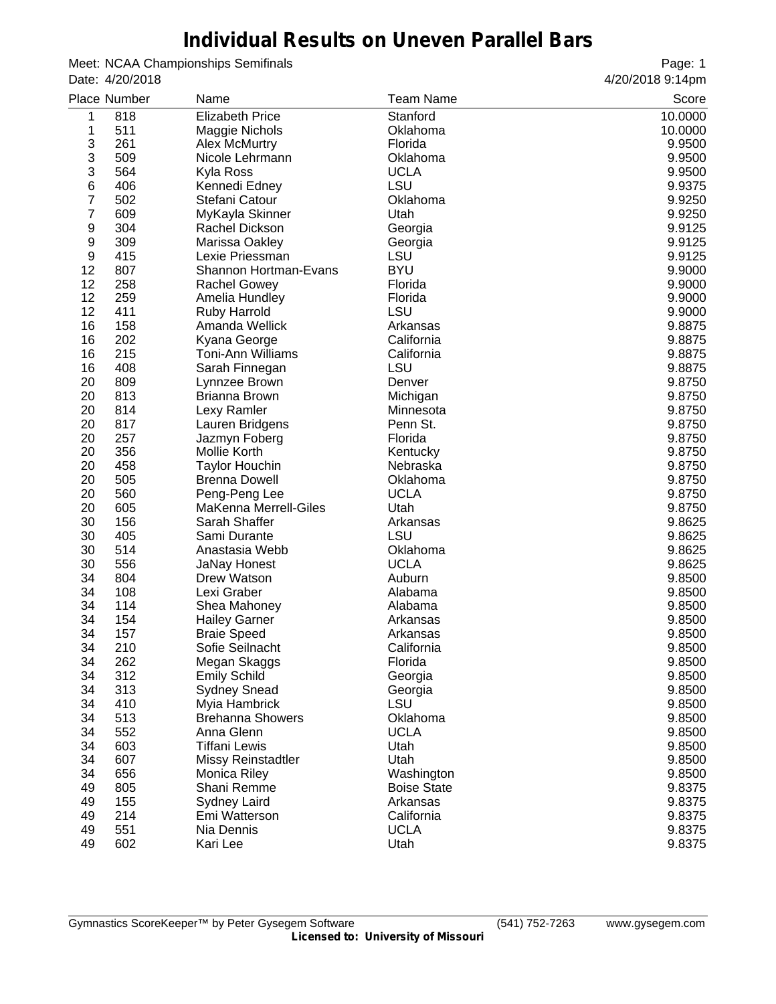### **Individual Results on Uneven Parallel Bars**

Meet: NCAA Championships Semifinals Date: 4/20/2018

|    | Place Number | Name                      | <b>Team Name</b>   | Score   |
|----|--------------|---------------------------|--------------------|---------|
| 1  | 818          | <b>Elizabeth Price</b>    | Stanford           | 10.0000 |
| 1  | 511          | Maggie Nichols            | Oklahoma           | 10.0000 |
| 3  | 261          | <b>Alex McMurtry</b>      | Florida            | 9.9500  |
| 3  | 509          | Nicole Lehrmann           | Oklahoma           | 9.9500  |
| 3  | 564          | Kyla Ross                 | <b>UCLA</b>        | 9.9500  |
| 6  | 406          | Kennedi Edney             | <b>LSU</b>         | 9.9375  |
| 7  | 502          | Stefani Catour            | Oklahoma           | 9.9250  |
| 7  | 609          | MyKayla Skinner           | Utah               | 9.9250  |
| 9  | 304          | Rachel Dickson            | Georgia            | 9.9125  |
| 9  | 309          | Marissa Oakley            | Georgia            | 9.9125  |
| 9  | 415          | Lexie Priessman           | <b>LSU</b>         | 9.9125  |
| 12 | 807          | Shannon Hortman-Evans     | <b>BYU</b>         | 9.9000  |
| 12 | 258          | <b>Rachel Gowey</b>       | Florida            | 9.9000  |
| 12 | 259          | Amelia Hundley            | Florida            | 9.9000  |
| 12 | 411          | Ruby Harrold              | LSU                | 9.9000  |
| 16 | 158          | Amanda Wellick            | Arkansas           | 9.8875  |
| 16 | 202          | Kyana George              | California         | 9.8875  |
| 16 | 215          | <b>Toni-Ann Williams</b>  | California         | 9.8875  |
| 16 | 408          | Sarah Finnegan            | <b>LSU</b>         | 9.8875  |
| 20 | 809          | Lynnzee Brown             | Denver             | 9.8750  |
| 20 | 813          | Brianna Brown             | Michigan           | 9.8750  |
| 20 | 814          | Lexy Ramler               | Minnesota          | 9.8750  |
| 20 | 817          | Lauren Bridgens           | Penn St.           | 9.8750  |
| 20 | 257          | Jazmyn Foberg             | Florida            | 9.8750  |
| 20 | 356          | Mollie Korth              | Kentucky           | 9.8750  |
| 20 | 458          | <b>Taylor Houchin</b>     | Nebraska           | 9.8750  |
| 20 | 505          | <b>Brenna Dowell</b>      | Oklahoma           | 9.8750  |
| 20 | 560          | Peng-Peng Lee             | <b>UCLA</b>        | 9.8750  |
| 20 | 605          | MaKenna Merrell-Giles     | Utah               | 9.8750  |
| 30 | 156          | Sarah Shaffer             | Arkansas           | 9.8625  |
| 30 | 405          | Sami Durante              | LSU                | 9.8625  |
| 30 | 514          | Anastasia Webb            | Oklahoma           | 9.8625  |
| 30 | 556          | <b>JaNay Honest</b>       | <b>UCLA</b>        | 9.8625  |
| 34 | 804          | Drew Watson               | Auburn             | 9.8500  |
| 34 | 108          | Lexi Graber               | Alabama            | 9.8500  |
| 34 | 114          | Shea Mahoney              | Alabama            | 9.8500  |
| 34 | 154          | <b>Hailey Garner</b>      | Arkansas           | 9.8500  |
| 34 | 157          | <b>Braie Speed</b>        | Arkansas           | 9.8500  |
| 34 | 210          | Sofie Seilnacht           | California         | 9.8500  |
| 34 | 262          | Megan Skaggs              | Florida            | 9.8500  |
| 34 | 312          | <b>Emily Schild</b>       | Georgia            | 9.8500  |
| 34 | 313          | <b>Sydney Snead</b>       | Georgia            | 9.8500  |
| 34 | 410          | Myia Hambrick             | LSU                | 9.8500  |
| 34 | 513          | <b>Brehanna Showers</b>   | Oklahoma           | 9.8500  |
| 34 | 552          | Anna Glenn                | <b>UCLA</b>        | 9.8500  |
| 34 | 603          | <b>Tiffani Lewis</b>      | Utah               | 9.8500  |
| 34 | 607          | <b>Missy Reinstadtler</b> | Utah               | 9.8500  |
| 34 | 656          | Monica Riley              | Washington         | 9.8500  |
| 49 | 805          | Shani Remme               | <b>Boise State</b> | 9.8375  |
| 49 | 155          | Sydney Laird              | Arkansas           | 9.8375  |
| 49 | 214          | Emi Watterson             | California         | 9.8375  |
| 49 | 551          | Nia Dennis                | <b>UCLA</b>        | 9.8375  |
| 49 | 602          | Kari Lee                  | Utah               | 9.8375  |
|    |              |                           |                    |         |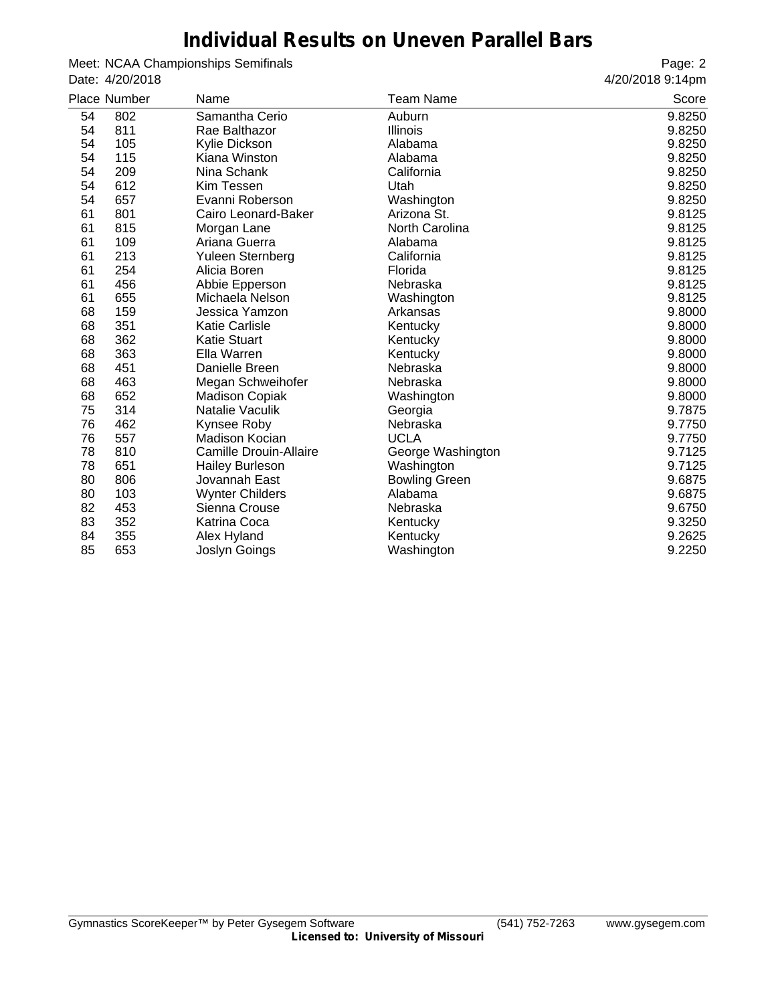#### **Individual Results on Uneven Parallel Bars**

Meet: NCAA Championships Semifinals Date: 4/20/2018

|    | <b>Place Number</b> | Name                          | Team Name            | Score  |
|----|---------------------|-------------------------------|----------------------|--------|
| 54 | 802                 | Samantha Cerio                | Auburn               | 9.8250 |
| 54 | 811                 | Rae Balthazor                 | Illinois             | 9.8250 |
| 54 | 105                 | Kylie Dickson                 | Alabama              | 9.8250 |
| 54 | 115                 | Kiana Winston                 | Alabama              | 9.8250 |
| 54 | 209                 | Nina Schank                   | California           | 9.8250 |
| 54 | 612                 | Kim Tessen                    | Utah                 | 9.8250 |
| 54 | 657                 | Evanni Roberson               | Washington           | 9.8250 |
| 61 | 801                 | Cairo Leonard-Baker           | Arizona St.          | 9.8125 |
| 61 | 815                 | Morgan Lane                   | North Carolina       | 9.8125 |
| 61 | 109                 | Ariana Guerra                 | Alabama              | 9.8125 |
| 61 | 213                 | Yuleen Sternberg              | California           | 9.8125 |
| 61 | 254                 | Alicia Boren                  | Florida              | 9.8125 |
| 61 | 456                 | Abbie Epperson                | Nebraska             | 9.8125 |
| 61 | 655                 | Michaela Nelson               | Washington           | 9.8125 |
| 68 | 159                 | Jessica Yamzon                | Arkansas             | 9.8000 |
| 68 | 351                 | <b>Katie Carlisle</b>         | Kentucky             | 9.8000 |
| 68 | 362                 | <b>Katie Stuart</b>           | Kentucky             | 9.8000 |
| 68 | 363                 | Ella Warren                   | Kentucky             | 9.8000 |
| 68 | 451                 | Danielle Breen                | Nebraska             | 9.8000 |
| 68 | 463                 | Megan Schweihofer             | Nebraska             | 9.8000 |
| 68 | 652                 | <b>Madison Copiak</b>         | Washington           | 9.8000 |
| 75 | 314                 | Natalie Vaculik               | Georgia              | 9.7875 |
| 76 | 462                 | Kynsee Roby                   | Nebraska             | 9.7750 |
| 76 | 557                 | Madison Kocian                | <b>UCLA</b>          | 9.7750 |
| 78 | 810                 | <b>Camille Drouin-Allaire</b> | George Washington    | 9.7125 |
| 78 | 651                 | <b>Hailey Burleson</b>        | Washington           | 9.7125 |
| 80 | 806                 | Jovannah East                 | <b>Bowling Green</b> | 9.6875 |
| 80 | 103                 | <b>Wynter Childers</b>        | Alabama              | 9.6875 |
| 82 | 453                 | Sienna Crouse                 | Nebraska             | 9.6750 |
| 83 | 352                 | Katrina Coca                  | Kentucky             | 9.3250 |
| 84 | 355                 | Alex Hyland                   | Kentucky             | 9.2625 |
| 85 | 653                 | Joslyn Goings                 | Washington           | 9.2250 |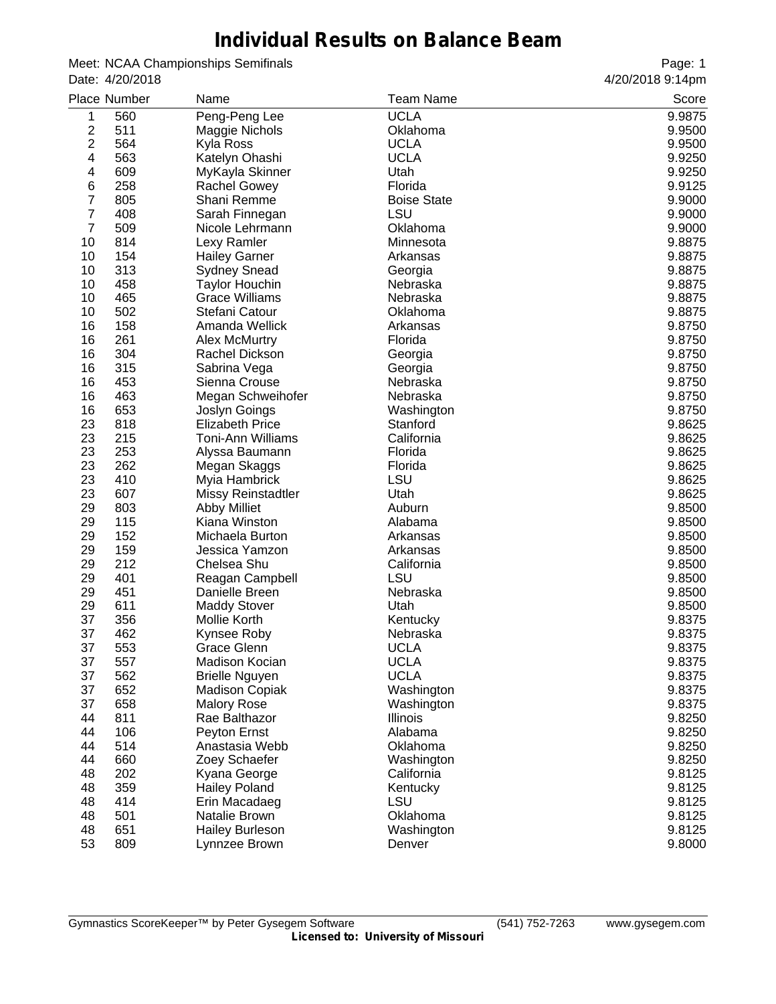#### **Individual Results on Balance Beam**

Meet: NCAA Championships Semifinals Date: 4/20/2018

|                | Place Number | Name                      | <b>Team Name</b>       | Score  |
|----------------|--------------|---------------------------|------------------------|--------|
| 1              | 560          | Peng-Peng Lee             | <b>UCLA</b>            | 9.9875 |
| 2              | 511          | Maggie Nichols            | Oklahoma               | 9.9500 |
| 2              | 564          | Kyla Ross                 | <b>UCLA</b>            | 9.9500 |
| 4              | 563          | Katelyn Ohashi            | <b>UCLA</b>            | 9.9250 |
| 4              | 609          | MyKayla Skinner           | Utah                   | 9.9250 |
| 6              | 258          | Rachel Gowey              | Florida                | 9.9125 |
| 7              | 805          | Shani Remme               | <b>Boise State</b>     | 9.9000 |
| 7              | 408          | Sarah Finnegan            | LSU                    | 9.9000 |
| $\overline{7}$ | 509          | Nicole Lehrmann           | Oklahoma               | 9.9000 |
| 10             | 814          | Lexy Ramler               | Minnesota              | 9.8875 |
| 10             | 154          | <b>Hailey Garner</b>      | Arkansas               | 9.8875 |
| 10             | 313          | <b>Sydney Snead</b>       | Georgia                | 9.8875 |
| 10             | 458          | <b>Taylor Houchin</b>     | Nebraska               | 9.8875 |
| 10             | 465          | <b>Grace Williams</b>     | Nebraska               | 9.8875 |
| 10             | 502          | Stefani Catour            | Oklahoma               | 9.8875 |
| 16             | 158          | Amanda Wellick            | Arkansas               | 9.8750 |
| 16             | 261          | <b>Alex McMurtry</b>      | Florida                | 9.8750 |
| 16             | 304          | Rachel Dickson            | Georgia                | 9.8750 |
| 16             | 315          | Sabrina Vega              | Georgia                | 9.8750 |
| 16             | 453          | Sienna Crouse             | Nebraska               | 9.8750 |
| 16             | 463          | Megan Schweihofer         | Nebraska               | 9.8750 |
| 16             | 653          | Joslyn Goings             |                        | 9.8750 |
| 23             | 818          | <b>Elizabeth Price</b>    | Washington<br>Stanford | 9.8625 |
|                |              | <b>Toni-Ann Williams</b>  |                        |        |
| 23             | 215          |                           | California             | 9.8625 |
| 23             | 253          | Alyssa Baumann            | Florida                | 9.8625 |
| 23             | 262          | Megan Skaggs              | Florida                | 9.8625 |
| 23             | 410          | Myia Hambrick             | LSU                    | 9.8625 |
| 23             | 607          | <b>Missy Reinstadtler</b> | Utah                   | 9.8625 |
| 29             | 803          | <b>Abby Milliet</b>       | Auburn                 | 9.8500 |
| 29             | 115          | Kiana Winston             | Alabama                | 9.8500 |
| 29             | 152          | Michaela Burton           | Arkansas               | 9.8500 |
| 29             | 159          | Jessica Yamzon            | Arkansas               | 9.8500 |
| 29             | 212          | Chelsea Shu               | California             | 9.8500 |
| 29             | 401          | Reagan Campbell           | <b>LSU</b>             | 9.8500 |
| 29             | 451          | Danielle Breen            | Nebraska               | 9.8500 |
| 29             | 611          | <b>Maddy Stover</b>       | Utah                   | 9.8500 |
| 37             | 356          | Mollie Korth              | Kentucky               | 9.8375 |
| 37             | 462          | Kynsee Roby               | Nebraska               | 9.8375 |
| 37             | 553          | Grace Glenn               | <b>UCLA</b>            | 9.8375 |
| 37             | 557          | Madison Kocian            | <b>UCLA</b>            | 9.8375 |
| 37             | 562          | <b>Brielle Nguyen</b>     | <b>UCLA</b>            | 9.8375 |
| 37             | 652          | <b>Madison Copiak</b>     | Washington             | 9.8375 |
| 37             | 658          | <b>Malory Rose</b>        | Washington             | 9.8375 |
| 44             | 811          | Rae Balthazor             | Illinois               | 9.8250 |
| 44             | 106          | Peyton Ernst              | Alabama                | 9.8250 |
| 44             | 514          | Anastasia Webb            | Oklahoma               | 9.8250 |
| 44             | 660          | Zoey Schaefer             | Washington             | 9.8250 |
| 48             | 202          | Kyana George              | California             | 9.8125 |
| 48             | 359          | <b>Hailey Poland</b>      | Kentucky               | 9.8125 |
| 48             | 414          | Erin Macadaeg             | LSU                    | 9.8125 |
| 48             | 501          | Natalie Brown             | Oklahoma               | 9.8125 |
| 48             | 651          | <b>Hailey Burleson</b>    | Washington             | 9.8125 |
| 53             | 809          | Lynnzee Brown             | Denver                 | 9.8000 |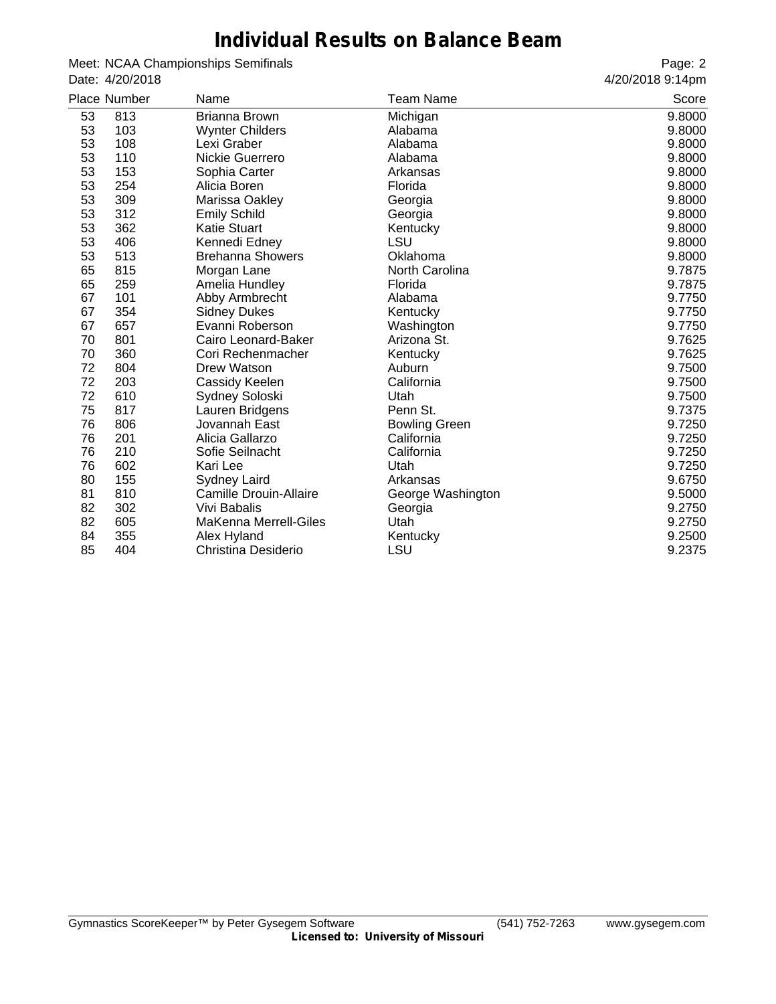#### **Individual Results on Balance Beam**

Meet: NCAA Championships Semifinals Date: 4/20/2018

|    | Place Number | Name                    | Team Name            | Score  |
|----|--------------|-------------------------|----------------------|--------|
| 53 | 813          | Brianna Brown           | Michigan             | 9.8000 |
| 53 | 103          | <b>Wynter Childers</b>  | Alabama              | 9.8000 |
| 53 | 108          | Lexi Graber             | Alabama              | 9.8000 |
| 53 | 110          | Nickie Guerrero         | Alabama              | 9.8000 |
| 53 | 153          | Sophia Carter           | Arkansas             | 9.8000 |
| 53 | 254          | Alicia Boren            | Florida              | 9.8000 |
| 53 | 309          | Marissa Oakley          | Georgia              | 9.8000 |
| 53 | 312          | <b>Emily Schild</b>     | Georgia              | 9.8000 |
| 53 | 362          | <b>Katie Stuart</b>     | Kentucky             | 9.8000 |
| 53 | 406          | Kennedi Edney           | LSU                  | 9.8000 |
| 53 | 513          | <b>Brehanna Showers</b> | Oklahoma             | 9.8000 |
| 65 | 815          | Morgan Lane             | North Carolina       | 9.7875 |
| 65 | 259          | Amelia Hundley          | Florida              | 9.7875 |
| 67 | 101          | Abby Armbrecht          | Alabama              | 9.7750 |
| 67 | 354          | <b>Sidney Dukes</b>     | Kentucky             | 9.7750 |
| 67 | 657          | Evanni Roberson         | Washington           | 9.7750 |
| 70 | 801          | Cairo Leonard-Baker     | Arizona St.          | 9.7625 |
| 70 | 360          | Cori Rechenmacher       | Kentucky             | 9.7625 |
| 72 | 804          | Drew Watson             | Auburn               | 9.7500 |
| 72 | 203          | Cassidy Keelen          | California           | 9.7500 |
| 72 | 610          | Sydney Soloski          | Utah                 | 9.7500 |
| 75 | 817          | Lauren Bridgens         | Penn St.             | 9.7375 |
| 76 | 806          | Jovannah East           | <b>Bowling Green</b> | 9.7250 |
| 76 | 201          | Alicia Gallarzo         | California           | 9.7250 |
| 76 | 210          | Sofie Seilnacht         | California           | 9.7250 |
| 76 | 602          | Kari Lee                | Utah                 | 9.7250 |
| 80 | 155          | <b>Sydney Laird</b>     | Arkansas             | 9.6750 |
| 81 | 810          | Camille Drouin-Allaire  | George Washington    | 9.5000 |
| 82 | 302          | Vivi Babalis            | Georgia              | 9.2750 |
| 82 | 605          | MaKenna Merrell-Giles   | Utah                 | 9.2750 |
| 84 | 355          | Alex Hyland             | Kentucky             | 9.2500 |
| 85 | 404          | Christina Desiderio     | LSU                  | 9.2375 |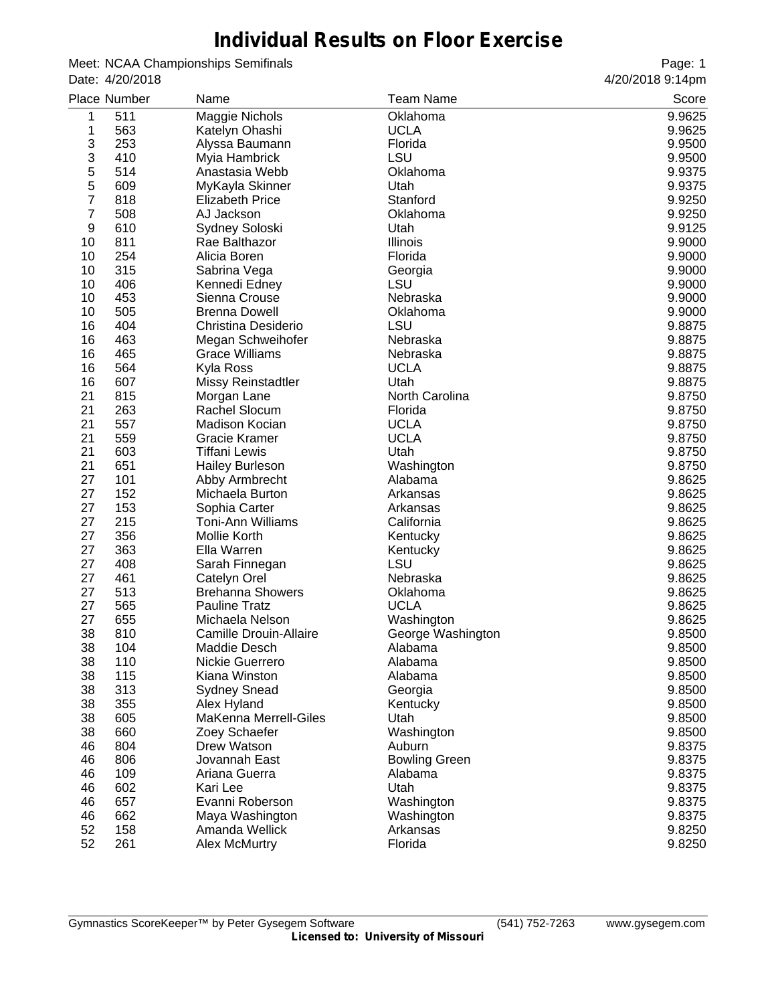# **Individual Results on Floor Exercise**

Meet: NCAA Championships Semifinals Date: 4/20/2018

|    | <b>Place Number</b> | Name                         | <b>Team Name</b>      | Score  |
|----|---------------------|------------------------------|-----------------------|--------|
| 1  | 511                 | Maggie Nichols               | Oklahoma              | 9.9625 |
| 1  | 563                 | Katelyn Ohashi               | <b>UCLA</b>           | 9.9625 |
| 3  | 253                 | Alyssa Baumann               | Florida               | 9.9500 |
| 3  | 410                 | Myia Hambrick                | LSU                   | 9.9500 |
| 5  | 514                 | Anastasia Webb               | Oklahoma              | 9.9375 |
| 5  | 609                 | MyKayla Skinner              | Utah                  | 9.9375 |
| 7  | 818                 | <b>Elizabeth Price</b>       | Stanford              | 9.9250 |
| 7  | 508                 | AJ Jackson                   | Oklahoma              | 9.9250 |
| 9  | 610                 | Sydney Soloski               | Utah                  | 9.9125 |
| 10 | 811                 | Rae Balthazor                | Illinois              | 9.9000 |
| 10 | 254                 | Alicia Boren                 | Florida               | 9.9000 |
| 10 | 315                 | Sabrina Vega                 | Georgia               | 9.9000 |
| 10 | 406                 | Kennedi Edney                | LSU                   | 9.9000 |
| 10 | 453                 | Sienna Crouse                | Nebraska              | 9.9000 |
| 10 | 505                 | <b>Brenna Dowell</b>         | Oklahoma              | 9.9000 |
| 16 | 404                 | Christina Desiderio          | LSU                   | 9.8875 |
| 16 | 463                 | Megan Schweihofer            | Nebraska              | 9.8875 |
| 16 | 465                 | <b>Grace Williams</b>        | Nebraska              | 9.8875 |
| 16 | 564                 | Kyla Ross                    | <b>UCLA</b>           | 9.8875 |
| 16 | 607                 | <b>Missy Reinstadtler</b>    | Utah                  | 9.8875 |
| 21 | 815                 | Morgan Lane                  | North Carolina        | 9.8750 |
| 21 | 263                 | Rachel Slocum                | Florida               | 9.8750 |
| 21 | 557                 | Madison Kocian               | <b>UCLA</b>           | 9.8750 |
| 21 | 559                 | Gracie Kramer                | <b>UCLA</b>           | 9.8750 |
| 21 | 603                 | Tiffani Lewis                | Utah                  | 9.8750 |
| 21 | 651                 |                              |                       | 9.8750 |
| 27 | 101                 | <b>Hailey Burleson</b>       | Washington<br>Alabama | 9.8625 |
| 27 | 152                 | Abby Armbrecht               |                       |        |
| 27 | 153                 | Michaela Burton              | Arkansas              | 9.8625 |
| 27 | 215                 | Sophia Carter                | Arkansas              | 9.8625 |
|    |                     | <b>Toni-Ann Williams</b>     | California            | 9.8625 |
| 27 | 356                 | Mollie Korth                 | Kentucky              | 9.8625 |
| 27 | 363                 | Ella Warren                  | Kentucky              | 9.8625 |
| 27 | 408                 | Sarah Finnegan               | LSU                   | 9.8625 |
| 27 | 461                 | Catelyn Orel                 | Nebraska              | 9.8625 |
| 27 | 513                 | <b>Brehanna Showers</b>      | Oklahoma              | 9.8625 |
| 27 | 565                 | <b>Pauline Tratz</b>         | <b>UCLA</b>           | 9.8625 |
| 27 | 655                 | Michaela Nelson              | Washington            | 9.8625 |
| 38 | 810                 | Camille Drouin-Allaire       | George Washington     | 9.8500 |
| 38 | 104                 | Maddie Desch                 | Alabama               | 9.8500 |
| 38 | 110                 | Nickie Guerrero              | Alabama               | 9.8500 |
| 38 | 115                 | Kiana Winston                | Alabama               | 9.8500 |
| 38 | 313                 | <b>Sydney Snead</b>          | Georgia               | 9.8500 |
| 38 | 355                 | Alex Hyland                  | Kentucky              | 9.8500 |
| 38 | 605                 | <b>MaKenna Merrell-Giles</b> | Utah                  | 9.8500 |
| 38 | 660                 | Zoey Schaefer                | Washington            | 9.8500 |
| 46 | 804                 | Drew Watson                  | Auburn                | 9.8375 |
| 46 | 806                 | Jovannah East                | <b>Bowling Green</b>  | 9.8375 |
| 46 | 109                 | Ariana Guerra                | Alabama               | 9.8375 |
| 46 | 602                 | Kari Lee                     | Utah                  | 9.8375 |
| 46 | 657                 | Evanni Roberson              | Washington            | 9.8375 |
| 46 | 662                 | Maya Washington              | Washington            | 9.8375 |
| 52 | 158                 | Amanda Wellick               | Arkansas              | 9.8250 |
| 52 | 261                 | <b>Alex McMurtry</b>         | Florida               | 9.8250 |